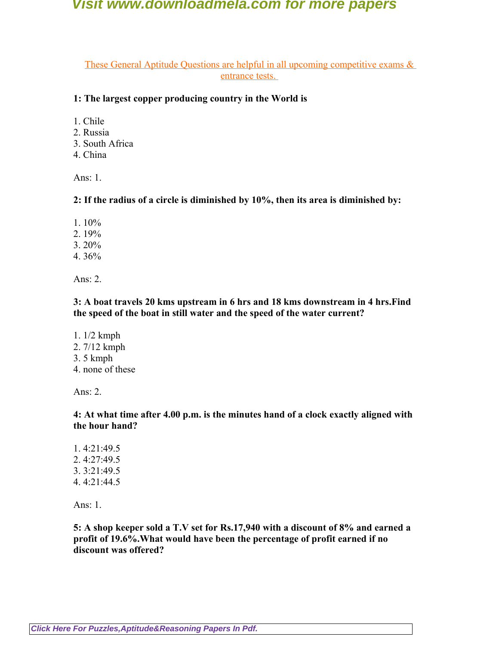These General Aptitude Questions are helpful in all upcoming competitive exams & entrance tests.

### **1: The largest copper producing country in the World is**

- 1. Chile
- 2. Russia
- 3. South Africa
- 4. China

Ans: 1.

**2: If the radius of a circle is diminished by 10%, then its area is diminished by:**

- 1. 10%
- 2. 19%
- 3. 20%
- 4. 36%

Ans: 2.

### **3: A boat travels 20 kms upstream in 6 hrs and 18 kms downstream in 4 hrs.Find the speed of the boat in still water and the speed of the water current?**

- 1. 1/2 kmph
- 2. 7/12 kmph
- 3. 5 kmph
- 4. none of these

Ans:  $2$ 

### **4: At what time after 4.00 p.m. is the minutes hand of a clock exactly aligned with the hour hand?**

1. 4:21:49.5 2. 4:27:49.5 3. 3:21:49.5 4. 4:21:44.5

Ans: 1.

**5: A shop keeper sold a T.V set for Rs.17,940 with a discount of 8% and earned a profit of 19.6%.What would have been the percentage of profit earned if no discount was offered?**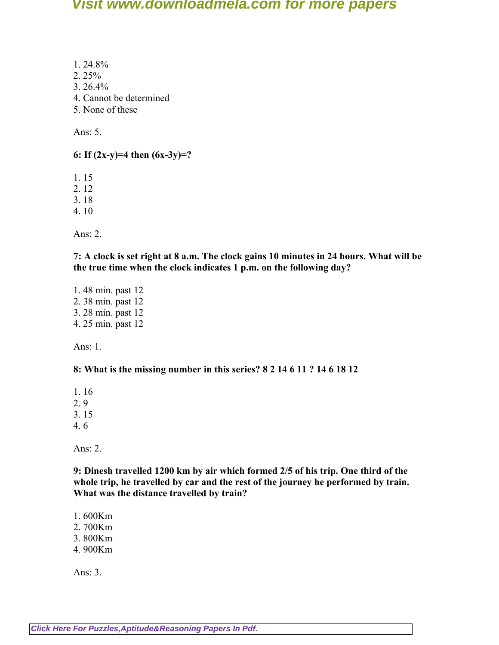- 1. 24.8%
- 2. 25%
- 3. 26.4%
- 4. Cannot be determined
- 5. None of these

Ans: 5.

# **6: If (2x-y)=4 then (6x-3y)=?**

1. 15

- 2. 12
- 3. 18
- 4. 10

Ans: 2.

**7: A clock is set right at 8 a.m. The clock gains 10 minutes in 24 hours. What will be the true time when the clock indicates 1 p.m. on the following day?**

1. 48 min. past 12 2. 38 min. past 12 3. 28 min. past 12 4. 25 min. past 12

Ans:  $1$ .

## **8: What is the missing number in this series? 8 2 14 6 11 ? 14 6 18 12**

1. 16

2. 9

- 3. 15
- 4. 6

Ans: 2.

**9: Dinesh travelled 1200 km by air which formed 2/5 of his trip. One third of the whole trip, he travelled by car and the rest of the journey he performed by train. What was the distance travelled by train?**

- 1. 600Km
- 2. 700Km
- 3. 800Km
- 4. 900Km

Ans: 3.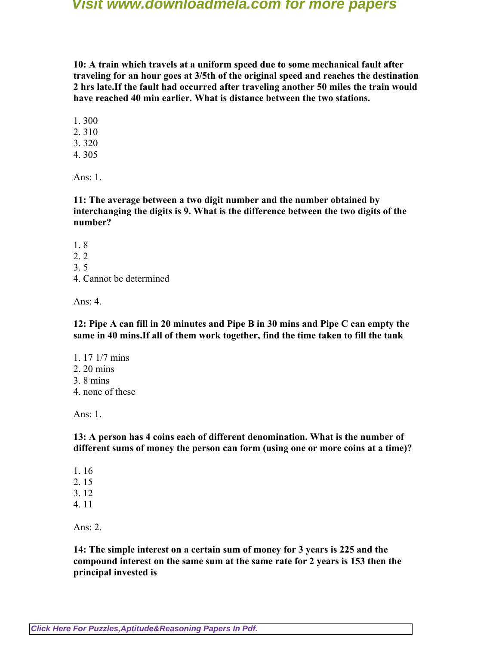**10: A train which travels at a uniform speed due to some mechanical fault after traveling for an hour goes at 3/5th of the original speed and reaches the destination 2 hrs late.If the fault had occurred after traveling another 50 miles the train would have reached 40 min earlier. What is distance between the two stations.**

- 1. 300
- 2. 310
- 3. 320
- 4. 305

Ans:  $1$ .

**11: The average between a two digit number and the number obtained by interchanging the digits is 9. What is the difference between the two digits of the number?**

- 1. 8
- 2. 2
- 3. 5
- 4. Cannot be determined

Ans: 4.

**12: Pipe A can fill in 20 minutes and Pipe B in 30 mins and Pipe C can empty the same in 40 mins.If all of them work together, find the time taken to fill the tank**

1. 17 1/7 mins 2. 20 mins 3. 8 mins 4. none of these

Ans: 1.

**13: A person has 4 coins each of different denomination. What is the number of different sums of money the person can form (using one or more coins at a time)?**

- 1. 16
- 2. 15
- 3. 12
- 4. 11

Ans:  $2$ 

**14: The simple interest on a certain sum of money for 3 years is 225 and the compound interest on the same sum at the same rate for 2 years is 153 then the principal invested is**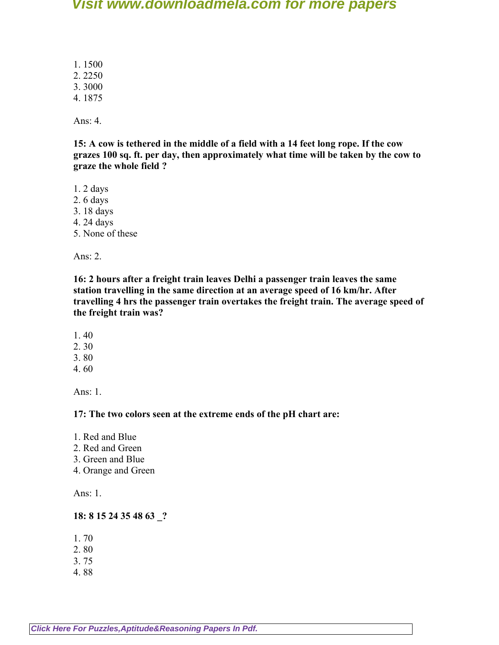1. 1500

2. 2250 3. 3000

4. 1875

Ans: 4.

**15: A cow is tethered in the middle of a field with a 14 feet long rope. If the cow grazes 100 sq. ft. per day, then approximately what time will be taken by the cow to graze the whole field ?**

1. 2 days

- 2. 6 days
- 3. 18 days
- 4. 24 days
- 5. None of these

Ans: 2.

**16: 2 hours after a freight train leaves Delhi a passenger train leaves the same station travelling in the same direction at an average speed of 16 km/hr. After travelling 4 hrs the passenger train overtakes the freight train. The average speed of the freight train was?**

- 1. 40
- 2. 30
- 3. 80
- 4. 60

Ans:  $1$ .

**17: The two colors seen at the extreme ends of the pH chart are:**

- 1. Red and Blue
- 2. Red and Green
- 3. Green and Blue
- 4. Orange and Green

Ans: 1.

# **18: 8 15 24 35 48 63 \_?**

- 1. 70
- 2. 80
- 3. 75
- 4. 88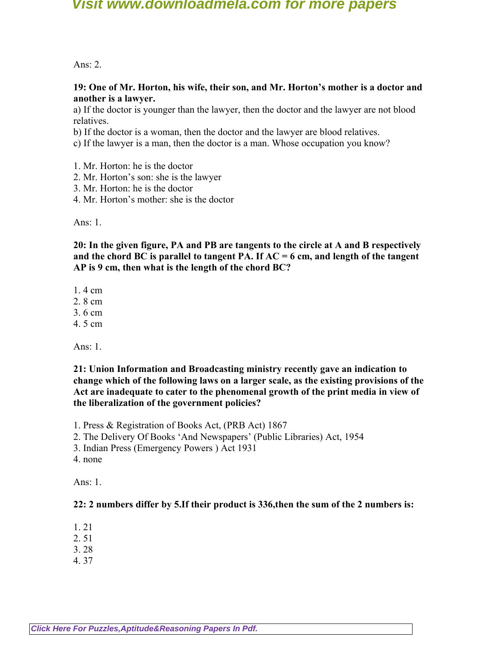Ans:  $2$ 

#### **19: One of Mr. Horton, his wife, their son, and Mr. Horton's mother is a doctor and another is a lawyer.**

a) If the doctor is younger than the lawyer, then the doctor and the lawyer are not blood relatives.

b) If the doctor is a woman, then the doctor and the lawyer are blood relatives.

c) If the lawyer is a man, then the doctor is a man. Whose occupation you know?

- 1. Mr. Horton: he is the doctor
- 2. Mr. Horton's son: she is the lawyer
- 3. Mr. Horton: he is the doctor
- 4. Mr. Horton's mother: she is the doctor

Ans:  $1$ .

**20: In the given figure, PA and PB are tangents to the circle at A and B respectively and the chord BC is parallel to tangent PA. If AC = 6 cm, and length of the tangent AP is 9 cm, then what is the length of the chord BC?**

1. 4 cm

2. 8 cm

3. 6 cm

4. 5 cm

Ans: 1.

**21: Union Information and Broadcasting ministry recently gave an indication to change which of the following laws on a larger scale, as the existing provisions of the Act are inadequate to cater to the phenomenal growth of the print media in view of the liberalization of the government policies?**

1. Press & Registration of Books Act, (PRB Act) 1867

- 2. The Delivery Of Books 'And Newspapers' (Public Libraries) Act, 1954
- 3. Indian Press (Emergency Powers ) Act 1931
- 4. none

Ans:  $1$ .

#### **22: 2 numbers differ by 5.If their product is 336,then the sum of the 2 numbers is:**

- 1. 21
- 2. 51
- 3. 28
- 4. 37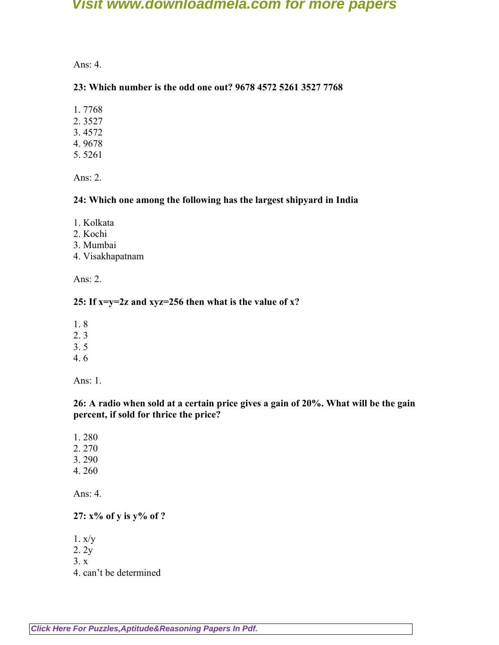Ans: 4.

### **23: Which number is the odd one out? 9678 4572 5261 3527 7768**

- 1. 7768
- 2. 3527
- 3. 4572
- 4. 9678
- 5. 5261

Ans: 2.

#### **24: Which one among the following has the largest shipyard in India**

- 1. Kolkata
- 2. Kochi
- 3. Mumbai
- 4. Visakhapatnam

Ans: 2.

#### **25: If x=y=2z and xyz=256 then what is the value of x?**

- 1. 8
- 2. 3
- 3. 5
- 4. 6

Ans: 1.

### **26: A radio when sold at a certain price gives a gain of 20%. What will be the gain percent, if sold for thrice the price?**

- 1. 280
- 2. 270
- 3. 290
- 4. 260

Ans: 4.

**27: x% of y is y% of ?**

- 1. x/y
- 2. 2y
- 3. x
- 4. can't be determined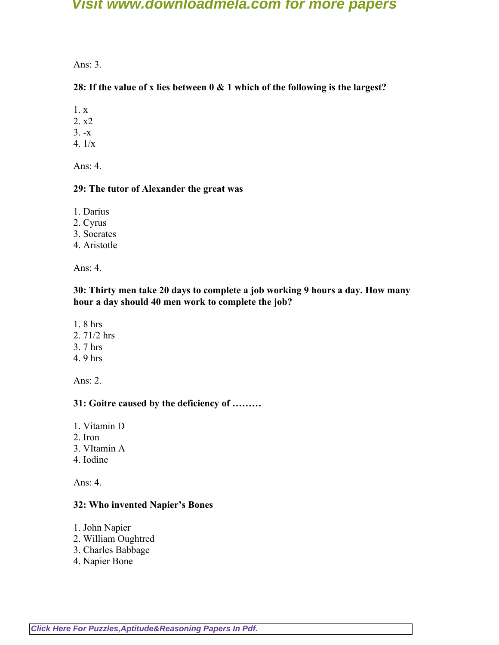Ans: 3.

### **28: If the value of x lies between 0 & 1 which of the following is the largest?**

1. x

2. x2

 $3. -x$ 

4. 1/x

Ans: 4.

#### **29: The tutor of Alexander the great was**

1. Darius

2. Cyrus

3. Socrates

4. Aristotle

Ans: 4.

**30: Thirty men take 20 days to complete a job working 9 hours a day. How many hour a day should 40 men work to complete the job?**

- 1. 8 hrs
- 2. 71/2 hrs
- 3. 7 hrs
- 4. 9 hrs

Ans: 2.

### **31: Goitre caused by the deficiency of ………**

1. Vitamin D

- 2. Iron
- 3. VItamin A
- 4. Iodine

Ans: 4.

#### **32: Who invented Napier's Bones**

- 1. John Napier
- 2. William Oughtred
- 3. Charles Babbage
- 4. Napier Bone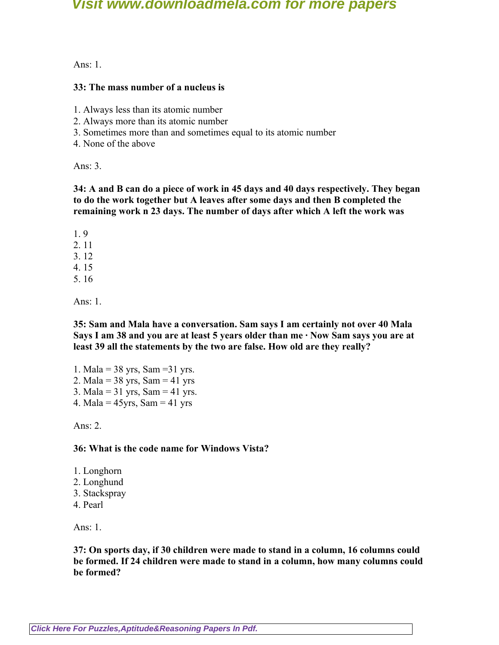Ans:  $1$ .

#### **33: The mass number of a nucleus is**

- 1. Always less than its atomic number
- 2. Always more than its atomic number
- 3. Sometimes more than and sometimes equal to its atomic number
- 4. None of the above

Ans:  $3$ 

#### **34: A and B can do a piece of work in 45 days and 40 days respectively. They began to do the work together but A leaves after some days and then B completed the remaining work n 23 days. The number of days after which A left the work was**

1. 9

2. 11

3. 12

- 4. 15
- 5. 16

Ans:  $1$ .

**35: Sam and Mala have a conversation. Sam says I am certainly not over 40 Mala Says I am 38 and you are at least 5 years older than me · Now Sam says you are at least 39 all the statements by the two are false. How old are they really?**

1. Mala =  $38 \text{ yrs}$ , Sam =  $31 \text{ yrs}$ . 2. Mala =  $38 \text{ yrs}$ , Sam =  $41 \text{ yrs}$ 3. Mala =  $31 \text{ yrs}$ , Sam =  $41 \text{ yrs}$ . 4. Mala =  $45yrs$ , Sam =  $41yrs$ 

Ans: 2.

**36: What is the code name for Windows Vista?**

- 1. Longhorn
- 2. Longhund
- 3. Stackspray
- 4. Pearl

Ans: 1.

**37: On sports day, if 30 children were made to stand in a column, 16 columns could be formed. If 24 children were made to stand in a column, how many columns could be formed?**

**[Click Here For Puzzles,Aptitude&Reasoning Papers In Pdf.](http://downloadmela.com/pages/aptitude/aptitude-puzzles-logicalreasoning.html)**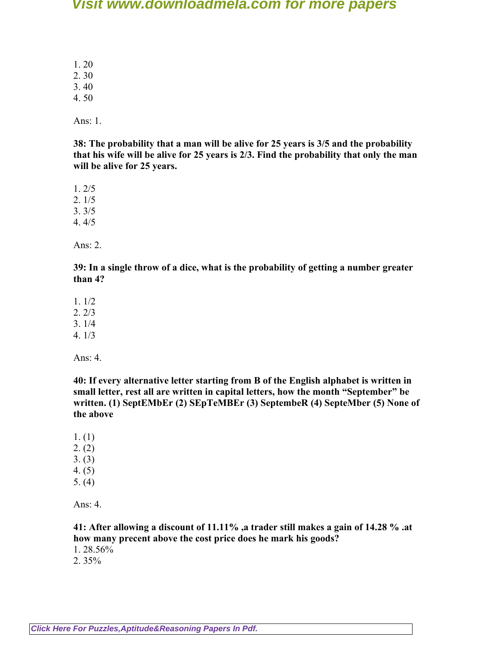1. 20

2. 30

3. 40 4. 50

Ans: 1.

**38: The probability that a man will be alive for 25 years is 3/5 and the probability that his wife will be alive for 25 years is 2/3. Find the probability that only the man will be alive for 25 years.**

1. 2/5

2. 1/5

3. 3/5

4. 4/5

Ans: 2.

**39: In a single throw of a dice, what is the probability of getting a number greater than 4?**

1. 1/2

2. 2/3

3. 1/4

4. 1/3

Ans: 4.

**40: If every alternative letter starting from B of the English alphabet is written in small letter, rest all are written in capital letters, how the month "September" be written. (1) SeptEMbEr (2) SEpTeMBEr (3) SeptembeR (4) SepteMber (5) None of the above**

1. (1)

- $2. (2)$
- 3. (3)
- 4. (5)
- 5. (4)

Ans: 4.

### **41: After allowing a discount of 11.11% ,a trader still makes a gain of 14.28 % .at how many precent above the cost price does he mark his goods?**

1. 28.56%

2. 35%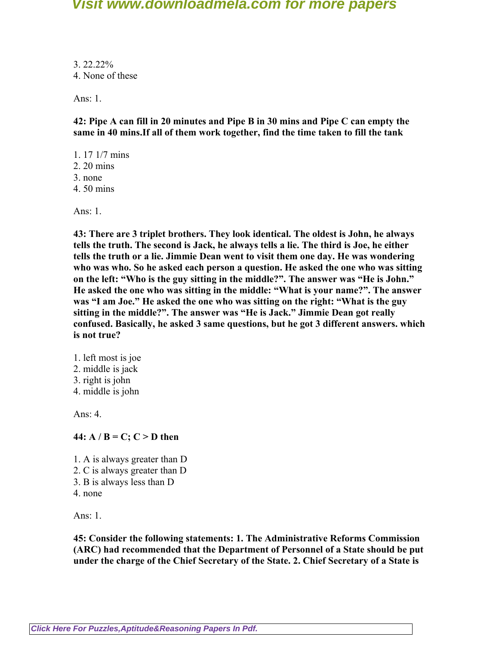3. 22.22% 4. None of these

Ans: 1.

**42: Pipe A can fill in 20 minutes and Pipe B in 30 mins and Pipe C can empty the same in 40 mins.If all of them work together, find the time taken to fill the tank**

- 1. 17 1/7 mins
- 2. 20 mins
- 3. none
- 4. 50 mins

Ans: 1.

**43: There are 3 triplet brothers. They look identical. The oldest is John, he always tells the truth. The second is Jack, he always tells a lie. The third is Joe, he either tells the truth or a lie. Jimmie Dean went to visit them one day. He was wondering who was who. So he asked each person a question. He asked the one who was sitting on the left: "Who is the guy sitting in the middle?". The answer was "He is John." He asked the one who was sitting in the middle: "What is your name?". The answer was "I am Joe." He asked the one who was sitting on the right: "What is the guy sitting in the middle?". The answer was "He is Jack." Jimmie Dean got really confused. Basically, he asked 3 same questions, but he got 3 different answers. which is not true?**

1. left most is joe 2. middle is jack 3. right is john 4. middle is john

Ans:  $4$ 

**44:**  $A / B = C$ ;  $C > D$  then

1. A is always greater than D

- 2. C is always greater than D
- 3. B is always less than D
- 4. none

Ans: 1.

**45: Consider the following statements: 1. The Administrative Reforms Commission (ARC) had recommended that the Department of Personnel of a State should be put under the charge of the Chief Secretary of the State. 2. Chief Secretary of a State is**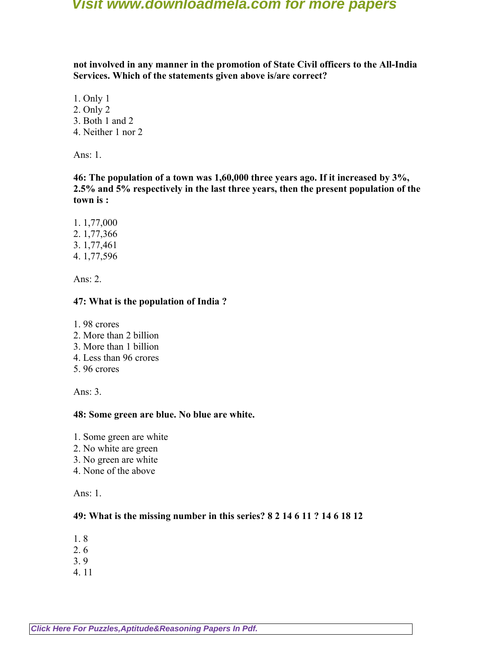**not involved in any manner in the promotion of State Civil officers to the All-India Services. Which of the statements given above is/are correct?**

- 1. Only 1
- 2. Only 2 3. Both 1 and 2
- 4. Neither 1 nor 2

Ans: 1.

**46: The population of a town was 1,60,000 three years ago. If it increased by 3%, 2.5% and 5% respectively in the last three years, then the present population of the town is :**

1. 1,77,000 2. 1,77,366 3. 1,77,461 4. 1,77,596

Ans: 2.

### **47: What is the population of India ?**

- 1. 98 crores
- 2. More than 2 billion
- 3. More than 1 billion
- 4. Less than 96 crores
- 5. 96 crores

Ans: 3.

### **48: Some green are blue. No blue are white.**

- 1. Some green are white
- 2. No white are green
- 3. No green are white
- 4. None of the above

Ans: 1.

### **49: What is the missing number in this series? 8 2 14 6 11 ? 14 6 18 12**

- 1. 8
- 2. 6
- 3. 9
- 4. 11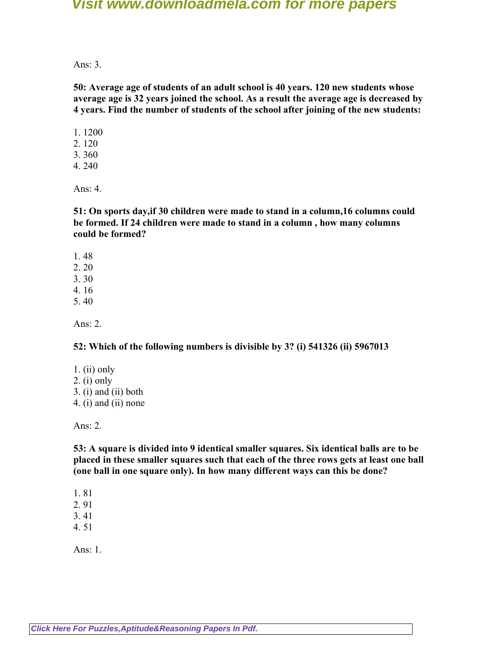Ans:  $3$ 

**50: Average age of students of an adult school is 40 years. 120 new students whose average age is 32 years joined the school. As a result the average age is decreased by 4 years. Find the number of students of the school after joining of the new students:**

- 1. 1200 2. 120 3. 360
- 4. 240

Ans: 4.

**51: On sports day,if 30 children were made to stand in a column,16 columns could be formed. If 24 children were made to stand in a column , how many columns could be formed?**

- 1. 48
- 2. 20
- 3. 30
- 4. 16
- 5. 40

Ans: 2.

#### **52: Which of the following numbers is divisible by 3? (i) 541326 (ii) 5967013**

- 1. (ii) only
- 2. (i) only
- 3. (i) and (ii) both
- 4. (i) and (ii) none

Ans: 2.

**53: A square is divided into 9 identical smaller squares. Six identical balls are to be placed in these smaller squares such that each of the three rows gets at least one ball (one ball in one square only). In how many different ways can this be done?**

1. 81

- 2. 91
- 3. 41
- 4. 51

Ans: 1.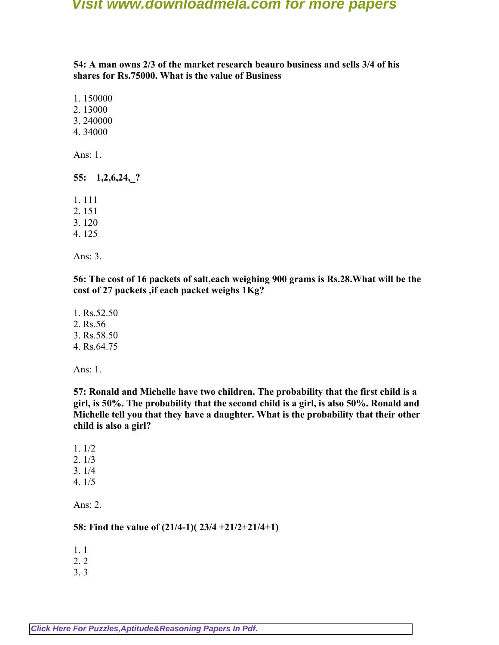**54: A man owns 2/3 of the market research beauro business and sells 3/4 of his shares for Rs.75000. What is the value of Business**

1. 150000

2. 13000

3. 240000

4. 34000

Ans: 1.

**55: 1,2,6,24,\_?**

1. 111

2. 151

3. 120

4. 125

Ans: 3.

**56: The cost of 16 packets of salt,each weighing 900 grams is Rs.28.What will be the cost of 27 packets ,if each packet weighs 1Kg?**

1. Rs.52.50 2. Rs.56 3. Rs.58.50 4. Rs.64.75

Ans: 1.

**57: Ronald and Michelle have two children. The probability that the first child is a girl, is 50%. The probability that the second child is a girl, is also 50%. Ronald and Michelle tell you that they have a daughter. What is the probability that their other child is also a girl?**

1. 1/2

2. 1/3

3. 1/4 4. 1/5

Ans: 2.

**58: Find the value of (21/4-1)( 23/4 +21/2+21/4+1)**

1. 1

2. 2

3. 3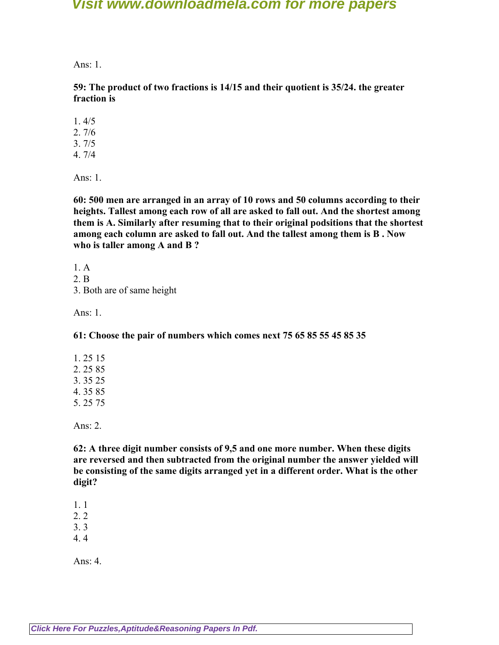Ans:  $1$ .

**59: The product of two fractions is 14/15 and their quotient is 35/24. the greater fraction is**

1. 4/5

2. 7/6

3. 7/5

4. 7/4

Ans: 1.

**60: 500 men are arranged in an array of 10 rows and 50 columns according to their heights. Tallest among each row of all are asked to fall out. And the shortest among them is A. Similarly after resuming that to their original podsitions that the shortest among each column are asked to fall out. And the tallest among them is B . Now who is taller among A and B ?**

1. A 2. B

3. Both are of same height

Ans: 1.

**61: Choose the pair of numbers which comes next 75 65 85 55 45 85 35**

Ans: 2.

**62: A three digit number consists of 9,5 and one more number. When these digits are reversed and then subtracted from the original number the answer yielded will be consisting of the same digits arranged yet in a different order. What is the other digit?**

1. 1

2. 2

3. 3

4. 4

Ans: 4.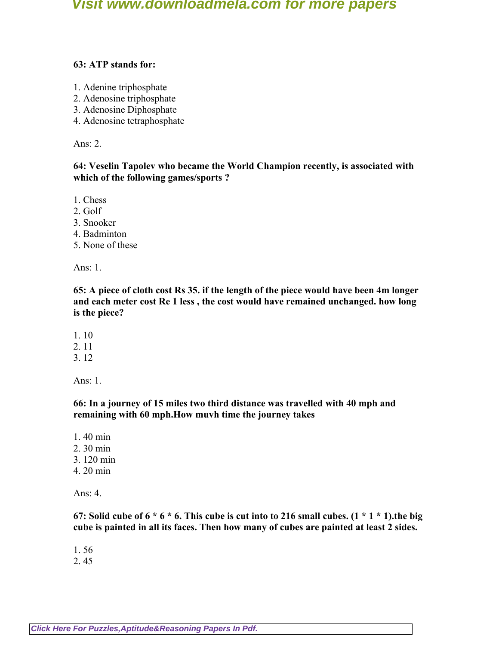### **63: ATP stands for:**

- 1. Adenine triphosphate
- 2. Adenosine triphosphate
- 3. Adenosine Diphosphate
- 4. Adenosine tetraphosphate

Ans: 2.

**64: Veselin Tapolev who became the World Champion recently, is associated with which of the following games/sports ?**

1. Chess

- 2. Golf
- 3. Snooker
- 4. Badminton
- 5. None of these

Ans: 1.

**65: A piece of cloth cost Rs 35. if the length of the piece would have been 4m longer and each meter cost Re 1 less , the cost would have remained unchanged. how long is the piece?**

- 1. 10
- 2. 11
- 3. 12

Ans: 1.

**66: In a journey of 15 miles two third distance was travelled with 40 mph and remaining with 60 mph.How muvh time the journey takes**

1. 40 min 2. 30 min 3. 120 min 4. 20 min

Ans: 4.

**67: Solid cube of 6 \* 6 \* 6. This cube is cut into to 216 small cubes. (1 \* 1 \* 1).the big cube is painted in all its faces. Then how many of cubes are painted at least 2 sides.**

1. 56

2. 45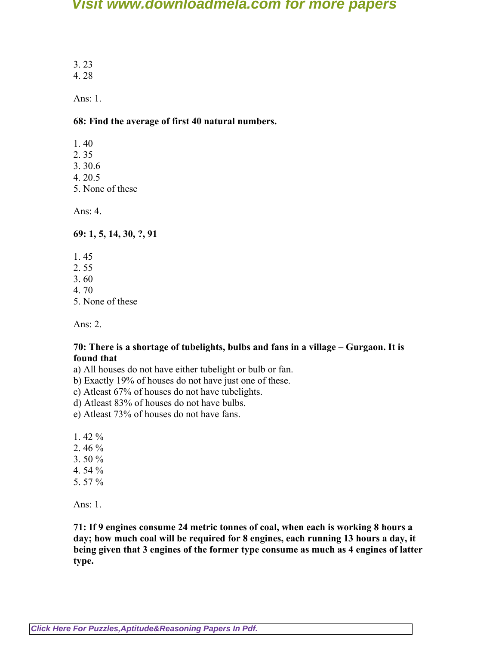3. 23 4. 28

Ans: 1.

### **68: Find the average of first 40 natural numbers.**

- 1. 40
- 2. 35
- 3. 30.6
- 4. 20.5
- 5. None of these

Ans: 4.

**69: 1, 5, 14, 30, ?, 91**

- 1. 45
- 2. 55
- 3. 60
- 4. 70
- 5. None of these

Ans: 2.

#### **70: There is a shortage of tubelights, bulbs and fans in a village – Gurgaon. It is found that**

- a) All houses do not have either tubelight or bulb or fan.
- b) Exactly 19% of houses do not have just one of these.
- c) Atleast 67% of houses do not have tubelights.
- d) Atleast 83% of houses do not have bulbs.
- e) Atleast 73% of houses do not have fans.

1. 42 %

- 2. 46 %
- 3. 50 %
- 4. 54 %
- 5. 57 %

Ans: 1.

**71: If 9 engines consume 24 metric tonnes of coal, when each is working 8 hours a day; how much coal will be required for 8 engines, each running 13 hours a day, it being given that 3 engines of the former type consume as much as 4 engines of latter type.**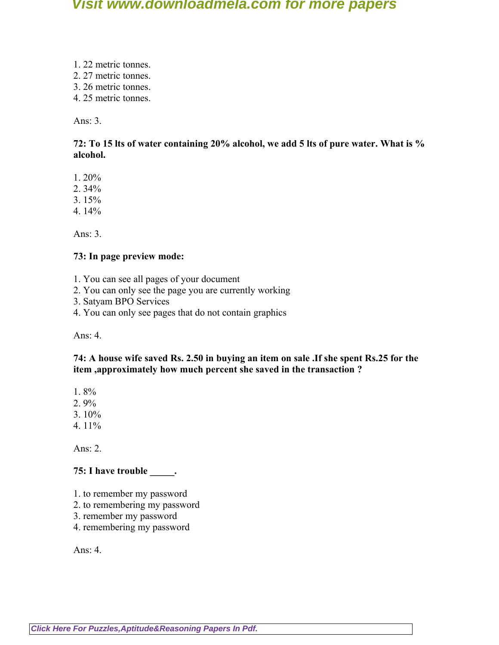- 1. 22 metric tonnes.
- 2. 27 metric tonnes.
- 3. 26 metric tonnes.
- 4. 25 metric tonnes.

Ans: 3.

### **72: To 15 lts of water containing 20% alcohol, we add 5 lts of pure water. What is % alcohol.**

1. 20%

2. 34%

- 3. 15%
- 4. 14%

Ans: 3.

### **73: In page preview mode:**

- 1. You can see all pages of your document
- 2. You can only see the page you are currently working
- 3. Satyam BPO Services
- 4. You can only see pages that do not contain graphics

Ans: 4.

### **74: A house wife saved Rs. 2.50 in buying an item on sale .If she spent Rs.25 for the item ,approximately how much percent she saved in the transaction ?**

1. 8%

2. 9%

- 3. 10%
- 4. 11%

Ans: 2.

## **75: I have trouble \_\_\_\_\_.**

- 1. to remember my password
- 2. to remembering my password
- 3. remember my password
- 4. remembering my password

Ans: 4.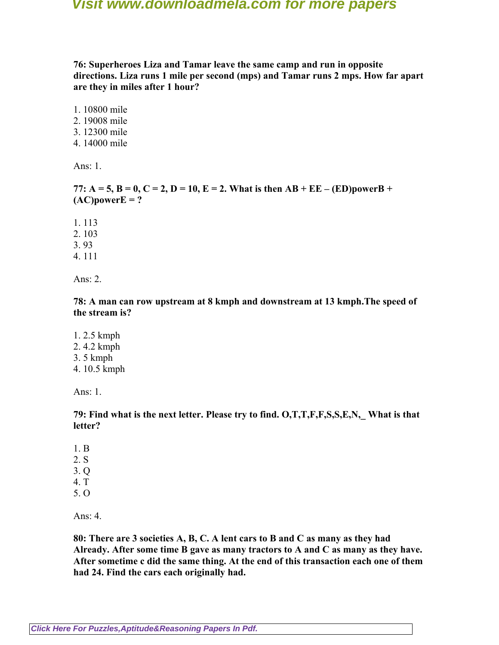**76: Superheroes Liza and Tamar leave the same camp and run in opposite directions. Liza runs 1 mile per second (mps) and Tamar runs 2 mps. How far apart are they in miles after 1 hour?**

1. 10800 mile 2. 19008 mile 3. 12300 mile 4. 14000 mile

Ans: 1.

**77:**  $A = 5$ ,  $B = 0$ ,  $C = 2$ ,  $D = 10$ ,  $E = 2$ . What is then  $AB + EE - (ED) powerB +$  $(AC) powerE = ?$ 

1. 113 2. 103 3. 93

4. 111

Ans: 2.

**78: A man can row upstream at 8 kmph and downstream at 13 kmph.The speed of the stream is?**

- 1. 2.5 kmph
- 2. 4.2 kmph
- 3. 5 kmph
- 4. 10.5 kmph

Ans: 1.

**79: Find what is the next letter. Please try to find. O,T,T,F,F,S,S,E,N,\_ What is that letter?**

- 1. B
- 2. S
- 3. Q
- 4. T
- 5. O

Ans: 4.

**80: There are 3 societies A, B, C. A lent cars to B and C as many as they had Already. After some time B gave as many tractors to A and C as many as they have. After sometime c did the same thing. At the end of this transaction each one of them had 24. Find the cars each originally had.**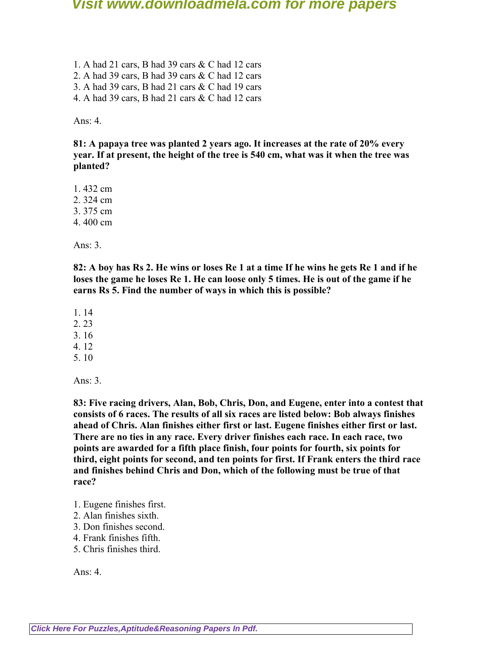1. A had 21 cars, B had 39 cars & C had 12 cars 2. A had 39 cars, B had 39 cars & C had 12 cars 3. A had 39 cars, B had 21 cars & C had 19 cars 4. A had 39 cars, B had 21 cars & C had 12 cars

Ans: 4.

**81: A papaya tree was planted 2 years ago. It increases at the rate of 20% every year. If at present, the height of the tree is 540 cm, what was it when the tree was planted?**

1. 432 cm

2. 324 cm

3. 375 cm

4. 400 cm

Ans: 3.

**82: A boy has Rs 2. He wins or loses Re 1 at a time If he wins he gets Re 1 and if he loses the game he loses Re 1. He can loose only 5 times. He is out of the game if he earns Rs 5. Find the number of ways in which this is possible?**

1. 14

2. 23

- 3. 16
- 4. 12
- 5. 10

Ans: 3.

**83: Five racing drivers, Alan, Bob, Chris, Don, and Eugene, enter into a contest that consists of 6 races. The results of all six races are listed below: Bob always finishes ahead of Chris. Alan finishes either first or last. Eugene finishes either first or last. There are no ties in any race. Every driver finishes each race. In each race, two points are awarded for a fifth place finish, four points for fourth, six points for third, eight points for second, and ten points for first. If Frank enters the third race and finishes behind Chris and Don, which of the following must be true of that race?**

- 1. Eugene finishes first.
- 2. Alan finishes sixth.
- 3. Don finishes second.
- 4. Frank finishes fifth.
- 5. Chris finishes third.

Ans:  $4.$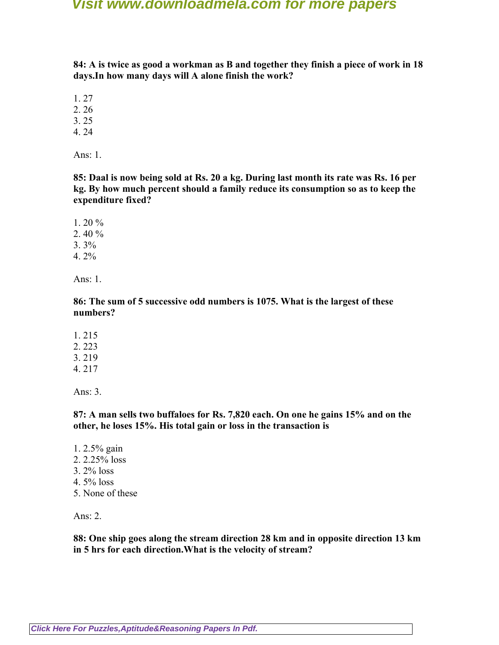**84: A is twice as good a workman as B and together they finish a piece of work in 18 days.In how many days will A alone finish the work?**

1. 27

2. 26

3. 25

4. 24

Ans: 1.

**85: Daal is now being sold at Rs. 20 a kg. During last month its rate was Rs. 16 per kg. By how much percent should a family reduce its consumption so as to keep the expenditure fixed?**

1. 20 % 2. 40 %  $3.3\%$ 4. 2%

Ans: 1.

**86: The sum of 5 successive odd numbers is 1075. What is the largest of these numbers?**

1. 215 2. 223 3. 219

4. 217

Ans: 3.

**87: A man sells two buffaloes for Rs. 7,820 each. On one he gains 15% and on the other, he loses 15%. His total gain or loss in the transaction is**

- 1. 2.5% gain
- 2. 2.25% loss
- 3. 2% loss
- 4. 5% loss
- 5. None of these

Ans: 2.

**88: One ship goes along the stream direction 28 km and in opposite direction 13 km in 5 hrs for each direction.What is the velocity of stream?**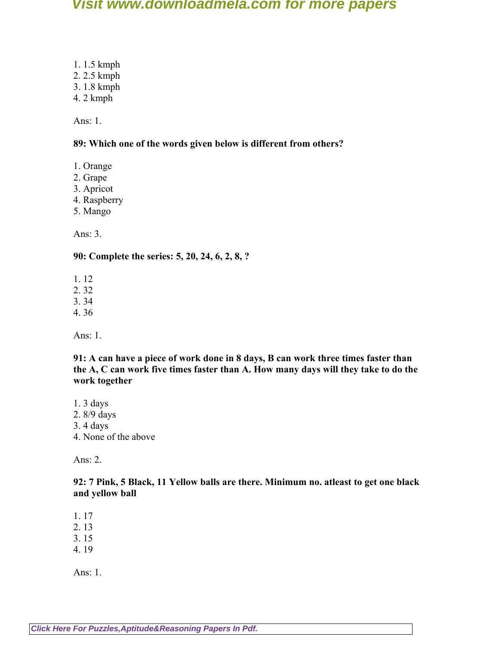1. 1.5 kmph 2. 2.5 kmph

- 3. 1.8 kmph
- 4. 2 kmph

Ans: 1.

### **89: Which one of the words given below is different from others?**

- 1. Orange
- 2. Grape
- 3. Apricot
- 4. Raspberry
- 5. Mango

Ans: 3.

### **90: Complete the series: 5, 20, 24, 6, 2, 8, ?**

- 1. 12
- 2. 32
- 3. 34
- 4. 36

Ans: 1.

**91: A can have a piece of work done in 8 days, B can work three times faster than the A, C can work five times faster than A. How many days will they take to do the work together**

- 1. 3 days
- 2. 8/9 days
- 3. 4 days
- 4. None of the above

Ans: 2.

**92: 7 Pink, 5 Black, 11 Yellow balls are there. Minimum no. atleast to get one black and yellow ball**

1. 17

- 2. 13
- 3. 15
- 4. 19

Ans: 1.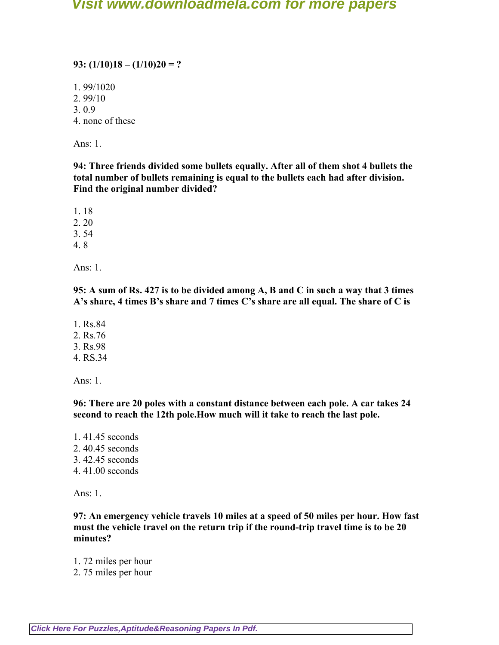### **93: (1/10)18 – (1/10)20 = ?**

1. 99/1020

2. 99/10

3. 0.9

4. none of these

Ans: 1.

**94: Three friends divided some bullets equally. After all of them shot 4 bullets the total number of bullets remaining is equal to the bullets each had after division. Find the original number divided?**

1. 18

2. 20

3. 54

4. 8

Ans: 1.

**95: A sum of Rs. 427 is to be divided among A, B and C in such a way that 3 times A's share, 4 times B's share and 7 times C's share are all equal. The share of C is**

1. Rs.84 2. Rs.76 3. Rs.98 4. RS.34

Ans: 1.

**96: There are 20 poles with a constant distance between each pole. A car takes 24 second to reach the 12th pole.How much will it take to reach the last pole.**

1. 41.45 seconds 2. 40.45 seconds 3. 42.45 seconds 4. 41.00 seconds

Ans: 1.

**97: An emergency vehicle travels 10 miles at a speed of 50 miles per hour. How fast must the vehicle travel on the return trip if the round-trip travel time is to be 20 minutes?**

1. 72 miles per hour

2. 75 miles per hour

**[Click Here For Puzzles,Aptitude&Reasoning Papers In Pdf.](http://downloadmela.com/pages/aptitude/aptitude-puzzles-logicalreasoning.html)**